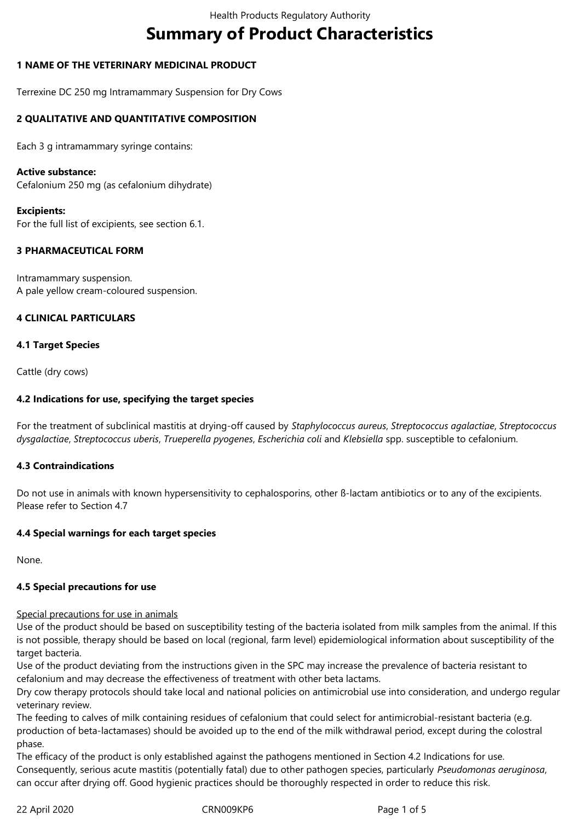# **Summary of Product Characteristics**

# **1 NAME OF THE VETERINARY MEDICINAL PRODUCT**

Terrexine DC 250 mg Intramammary Suspension for Dry Cows

## **2 QUALITATIVE AND QUANTITATIVE COMPOSITION**

Each 3 g intramammary syringe contains:

#### **Active substance:**

Cefalonium 250 mg (as cefalonium dihydrate)

#### **Excipients:**

For the full list of excipients, see section 6.1.

#### **3 PHARMACEUTICAL FORM**

Intramammary suspension. A pale yellow cream-coloured suspension.

#### **4 CLINICAL PARTICULARS**

#### **4.1 Target Species**

Cattle (dry cows)

#### **4.2 Indications for use, specifying the target species**

For the treatment of subclinical mastitis at drying-off caused by *Staphylococcus aureus*, *Streptococcus agalactiae*, *Streptococcus dysgalactiae*, *Streptococcus uberis*, *Trueperella pyogenes*, *Escherichia coli* and *Klebsiella* spp. susceptible to cefalonium.

#### **4.3 Contraindications**

Do not use in animals with known hypersensitivity to cephalosporins, other ß-lactam antibiotics or to any of the excipients. Please refer to Section 4.7

#### **4.4 Special warnings for each target species**

None.

# **4.5 Special precautions for use**

# Special precautions for use in animals

Use of the product should be based on susceptibility testing of the bacteria isolated from milk samples from the animal. If this is not possible, therapy should be based on local (regional, farm level) epidemiological information about susceptibility of the target bacteria.

Use of the product deviating from the instructions given in the SPC may increase the prevalence of bacteria resistant to cefalonium and may decrease the effectiveness of treatment with other beta lactams.

Dry cow therapy protocols should take local and national policies on antimicrobial use into consideration, and undergo regular veterinary review.

The feeding to calves of milk containing residues of cefalonium that could select for antimicrobial-resistant bacteria (e.g. production of beta-lactamases) should be avoided up to the end of the milk withdrawal period, except during the colostral phase.

The efficacy of the product is only established against the pathogens mentioned in Section 4.2 Indications for use. Consequently, serious acute mastitis (potentially fatal) due to other pathogen species, particularly *Pseudomonas aeruginosa*, can occur after drying off. Good hygienic practices should be thoroughly respected in order to reduce this risk.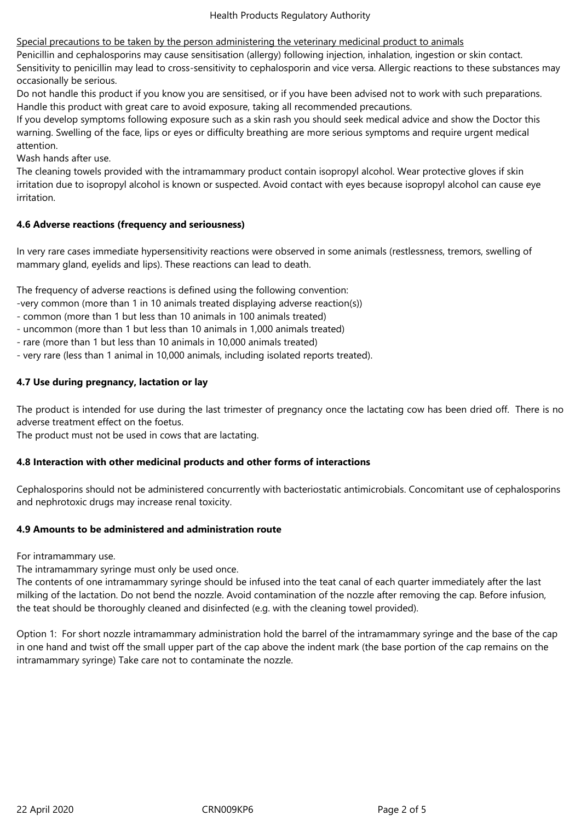Special precautions to be taken by the person administering the veterinary medicinal product to animals

Penicillin and cephalosporins may cause sensitisation (allergy) following injection, inhalation, ingestion or skin contact. Sensitivity to penicillin may lead to cross-sensitivity to cephalosporin and vice versa. Allergic reactions to these substances may occasionally be serious.

Do not handle this product if you know you are sensitised, or if you have been advised not to work with such preparations. Handle this product with great care to avoid exposure, taking all recommended precautions.

If you develop symptoms following exposure such as a skin rash you should seek medical advice and show the Doctor this warning. Swelling of the face, lips or eyes or difficulty breathing are more serious symptoms and require urgent medical attention.

Wash hands after use.

The cleaning towels provided with the intramammary product contain isopropyl alcohol. Wear protective gloves if skin irritation due to isopropyl alcohol is known or suspected. Avoid contact with eyes because isopropyl alcohol can cause eye irritation.

#### **4.6 Adverse reactions (frequency and seriousness)**

In very rare cases immediate hypersensitivity reactions were observed in some animals (restlessness, tremors, swelling of mammary gland, eyelids and lips). These reactions can lead to death.

The frequency of adverse reactions is defined using the following convention:

- -very common (more than 1 in 10 animals treated displaying adverse reaction(s))
- common (more than 1 but less than 10 animals in 100 animals treated)
- uncommon (more than 1 but less than 10 animals in 1,000 animals treated)
- rare (more than 1 but less than 10 animals in 10,000 animals treated)
- very rare (less than 1 animal in 10,000 animals, including isolated reports treated).

# **4.7 Use during pregnancy, lactation or lay**

The product is intended for use during the last trimester of pregnancy once the lactating cow has been dried off. There is no adverse treatment effect on the foetus.

The product must not be used in cows that are lactating.

# **4.8 Interaction with other medicinal products and other forms of interactions**

Cephalosporins should not be administered concurrently with bacteriostatic antimicrobials. Concomitant use of cephalosporins and nephrotoxic drugs may increase renal toxicity.

# **4.9 Amounts to be administered and administration route**

For intramammary use.

The intramammary syringe must only be used once.

The contents of one intramammary syringe should be infused into the teat canal of each quarter immediately after the last milking of the lactation. Do not bend the nozzle. Avoid contamination of the nozzle after removing the cap. Before infusion, the teat should be thoroughly cleaned and disinfected (e.g. with the cleaning towel provided).

Option 1: For short nozzle intramammary administration hold the barrel of the intramammary syringe and the base of the cap in one hand and twist off the small upper part of the cap above the indent mark (the base portion of the cap remains on the intramammary syringe) Take care not to contaminate the nozzle.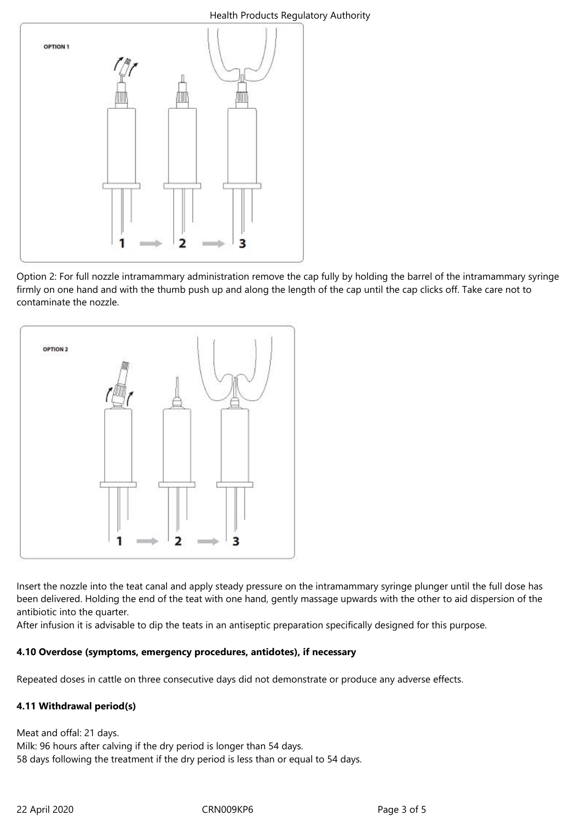#### Health Products Regulatory Authority



Option 2: For full nozzle intramammary administration remove the cap fully by holding the barrel of the intramammary syringe firmly on one hand and with the thumb push up and along the length of the cap until the cap clicks off. Take care not to contaminate the nozzle.



Insert the nozzle into the teat canal and apply steady pressure on the intramammary syringe plunger until the full dose has been delivered. Holding the end of the teat with one hand, gently massage upwards with the other to aid dispersion of the antibiotic into the quarter.

After infusion it is advisable to dip the teats in an antiseptic preparation specifically designed for this purpose.

# **4.10 Overdose (symptoms, emergency procedures, antidotes), if necessary**

Repeated doses in cattle on three consecutive days did not demonstrate or produce any adverse effects.

# **4.11 Withdrawal period(s)**

Meat and offal: 21 days. Milk: 96 hours after calving if the dry period is longer than 54 days. 58 days following the treatment if the dry period is less than or equal to 54 days.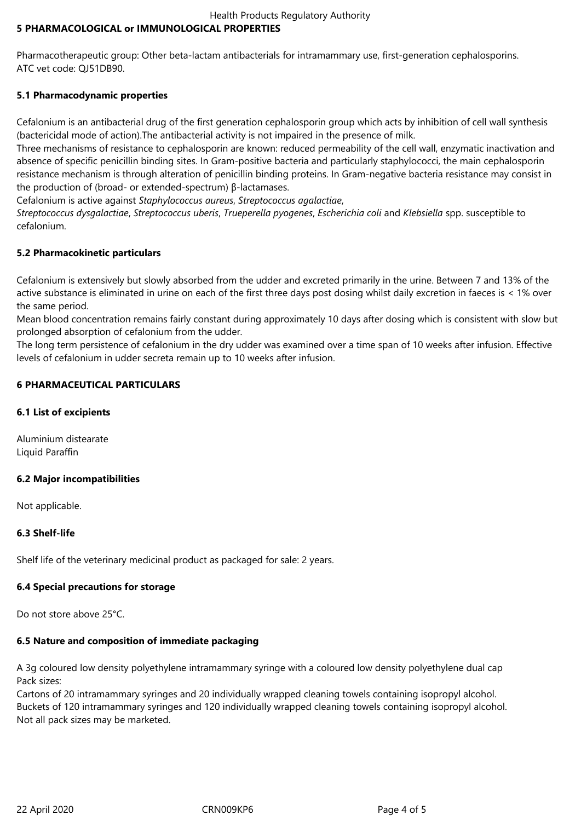#### Health Products Regulatory Authority **5 PHARMACOLOGICAL or IMMUNOLOGICAL PROPERTIES**

Pharmacotherapeutic group: Other beta-lactam antibacterials for intramammary use, first-generation cephalosporins. ATC vet code: QJ51DB90.

# **5.1 Pharmacodynamic properties**

Cefalonium is an antibacterial drug of the first generation cephalosporin group which acts by inhibition of cell wall synthesis (bactericidal mode of action).The antibacterial activity is not impaired in the presence of milk.

Three mechanisms of resistance to cephalosporin are known: reduced permeability of the cell wall, enzymatic inactivation and absence of specific penicillin binding sites. In Gram-positive bacteria and particularly staphylococci, the main cephalosporin resistance mechanism is through alteration of penicillin binding proteins. In Gram-negative bacteria resistance may consist in the production of (broad- or extended-spectrum) β-lactamases.

Cefalonium is active against *Staphylococcus aureus*, *Streptococcus agalactiae*,

*Streptococcus dysgalactiae*, *Streptococcus uberis*, *Trueperella pyogenes*, *Escherichia coli* and *Klebsiella* spp. susceptible to cefalonium.

# **5.2 Pharmacokinetic particulars**

Cefalonium is extensively but slowly absorbed from the udder and excreted primarily in the urine. Between 7 and 13% of the active substance is eliminated in urine on each of the first three days post dosing whilst daily excretion in faeces is < 1% over the same period.

Mean blood concentration remains fairly constant during approximately 10 days after dosing which is consistent with slow but prolonged absorption of cefalonium from the udder.

The long term persistence of cefalonium in the dry udder was examined over a time span of 10 weeks after infusion. Effective levels of cefalonium in udder secreta remain up to 10 weeks after infusion.

# **6 PHARMACEUTICAL PARTICULARS**

## **6.1 List of excipients**

Aluminium distearate Liquid Paraffin

#### **6.2 Major incompatibilities**

Not applicable.

# **6.3 Shelf-life**

Shelf life of the veterinary medicinal product as packaged for sale: 2 years.

# **6.4 Special precautions for storage**

Do not store above 25°C.

# **6.5 Nature and composition of immediate packaging**

A 3g coloured low density polyethylene intramammary syringe with a coloured low density polyethylene dual cap Pack sizes:

Cartons of 20 intramammary syringes and 20 individually wrapped cleaning towels containing isopropyl alcohol. Buckets of 120 intramammary syringes and 120 individually wrapped cleaning towels containing isopropyl alcohol. Not all pack sizes may be marketed.